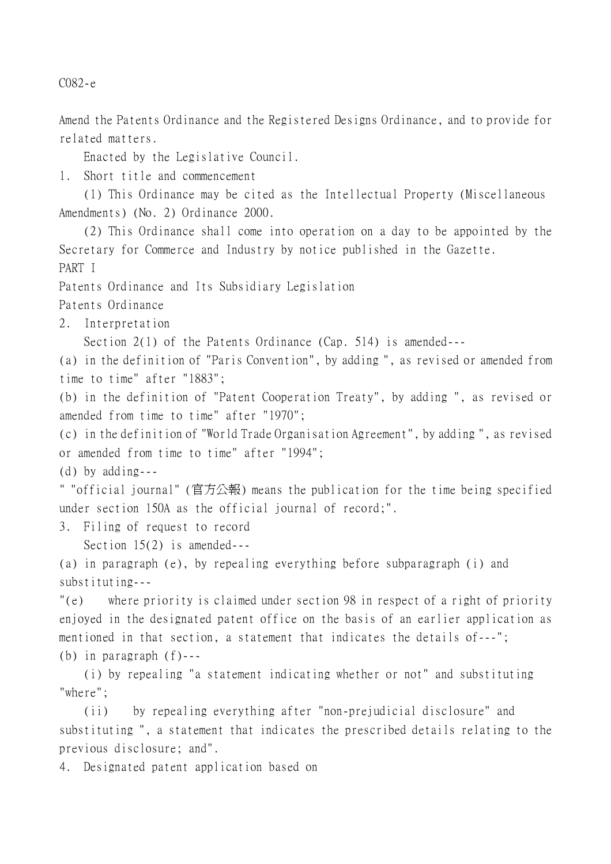C082-e

Amend the Patents Ordinance and the Registered Designs Ordinance, and to provide for related matters.

Enacted by the Legislative Council.

1. Short title and commencement

(1) This Ordinance may be cited as the Intellectual Property (Miscellaneous Amendments) (No. 2) Ordinance 2000.

(2) This Ordinance shall come into operation on a day to be appointed by the Secretary for Commerce and Industry by notice published in the Gazette. PART I Patents Ordinance and Its Subsidiary Legislation Patents Ordinance 2. Interpretation Section 2(1) of the Patents Ordinance (Cap. 514) is amended--- (a) in the definition of "Paris Convention", by adding ", as revised or amended from time to time" after "1883"; (b) in the definition of "Patent Cooperation Treaty", by adding ", as revised or amended from time to time" after "1970"; (c) in the definition of "World Trade Organisation Agreement", by adding ", as revised or amended from time to time" after "1994"; (d) by adding--- " "official journal" (官方公報) means the publication for the time being specified under section 150A as the official journal of record;". 3. Filing of request to record Section 15(2) is amended--- (a) in paragraph (e), by repealing everything before subparagraph (i) and substituting--- "(e) where priority is claimed under section 98 in respect of a right of priority enjoyed in the designated patent office on the basis of an earlier application as mentioned in that section, a statement that indicates the details of---"; (b) in paragraph (f)--- (i) by repealing "a statement indicating whether or not" and substituting "where";

(ii) by repealing everything after "non-prejudicial disclosure" and substituting ", a statement that indicates the prescribed details relating to the previous disclosure; and".

4. Designated patent application based on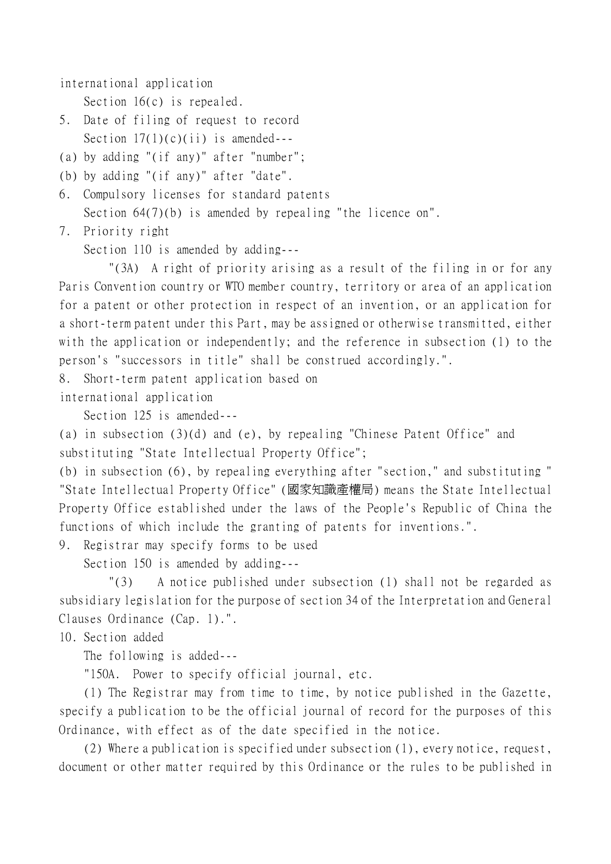international application

Section 16(c) is repealed.

- 5. Date of filing of request to record Section  $17(1)(c)(ii)$  is amended---
- (a) by adding "(if any)" after "number";
- (b) by adding "(if any)" after "date".
- 6. Compulsory licenses for standard patents
	- Section  $64(7)(b)$  is amended by repealing "the licence on".
- 7. Priority right

Section 110 is amended by adding---

"(3A) A right of priority arising as a result of the filing in or for any Paris Convention country or WTO member country, territory or area of an application for a patent or other protection in respect of an invention, or an application for a short-term patent under this Part, may be assigned or otherwise transmitted, either with the application or independently; and the reference in subsection (1) to the person's "successors in title" shall be construed accordingly.".

8. Short-term patent application based on

international application

Section 125 is amended---

(a) in subsection (3)(d) and (e), by repealing "Chinese Patent Office" and substituting "State Intellectual Property Office";

(b) in subsection (6), by repealing everything after "section," and substituting " "State Intellectual Property Office" (國家知識產權局) means the State Intellectual Property Office established under the laws of the People's Republic of China the functions of which include the granting of patents for inventions.".

9. Registrar may specify forms to be used

Section 150 is amended by adding---

"(3) A notice published under subsection (1) shall not be regarded as subsidiary legislation for the purpose of section 34 of the Interpretation and General Clauses Ordinance (Cap. 1).".

10. Section added

The following is added---

"150A. Power to specify official journal, etc.

(1) The Registrar may from time to time, by notice published in the Gazette, specify a publication to be the official journal of record for the purposes of this Ordinance, with effect as of the date specified in the notice.

(2) Where a publication is specified under subsection (1), every notice, request, document or other matter required by this Ordinance or the rules to be published in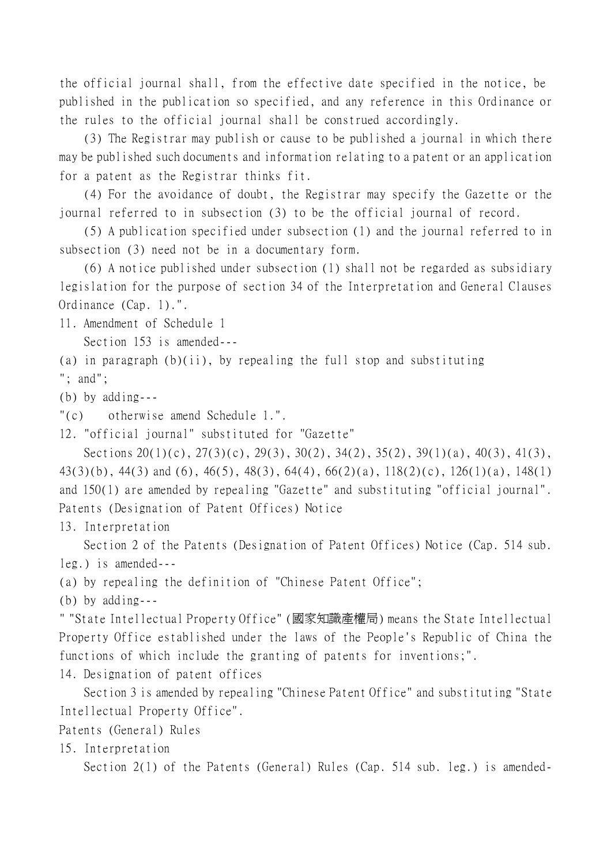the official journal shall, from the effective date specified in the notice, be published in the publication so specified, and any reference in this Ordinance or the rules to the official journal shall be construed accordingly.

(3) The Registrar may publish or cause to be published a journal in which there may be published such documents and information relating to a patent or an application for a patent as the Registrar thinks fit.

(4) For the avoidance of doubt, the Registrar may specify the Gazette or the journal referred to in subsection (3) to be the official journal of record.

(5) A publication specified under subsection (1) and the journal referred to in subsection (3) need not be in a documentary form.

(6) A notice published under subsection (1) shall not be regarded as subsidiary legislation for the purpose of section 34 of the Interpretation and General Clauses Ordinance (Cap. 1).".

11. Amendment of Schedule 1

Section 153 is amended---

(a) in paragraph  $(b)(ii)$ , by repealing the full stop and substituting

"; and";

(b) by adding---

"(c) otherwise amend Schedule 1.".

12. "official journal" substituted for "Gazette"

Sections 20(1)(c), 27(3)(c), 29(3), 30(2), 34(2), 35(2), 39(1)(a), 40(3), 41(3), 43(3)(b), 44(3) and (6), 46(5), 48(3), 64(4), 66(2)(a), 118(2)(c), 126(1)(a), 148(1) and 150(1) are amended by repealing "Gazette" and substituting "official journal". Patents (Designation of Patent Offices) Notice

13. Interpretation

Section 2 of the Patents (Designation of Patent Offices) Notice (Cap. 514 sub. leg.) is amended---

(a) by repealing the definition of "Chinese Patent Office";

(b) by adding---

" "State Intellectual Property Office" (國家知識產權局) means the State Intellectual Property Office established under the laws of the People's Republic of China the functions of which include the granting of patents for inventions;".

14. Designation of patent offices

Section 3 is amended by repealing "Chinese Patent Office" and substituting "State Intellectual Property Office".

Patents (General) Rules

15. Interpretation

Section 2(1) of the Patents (General) Rules (Cap. 514 sub. leg.) is amended-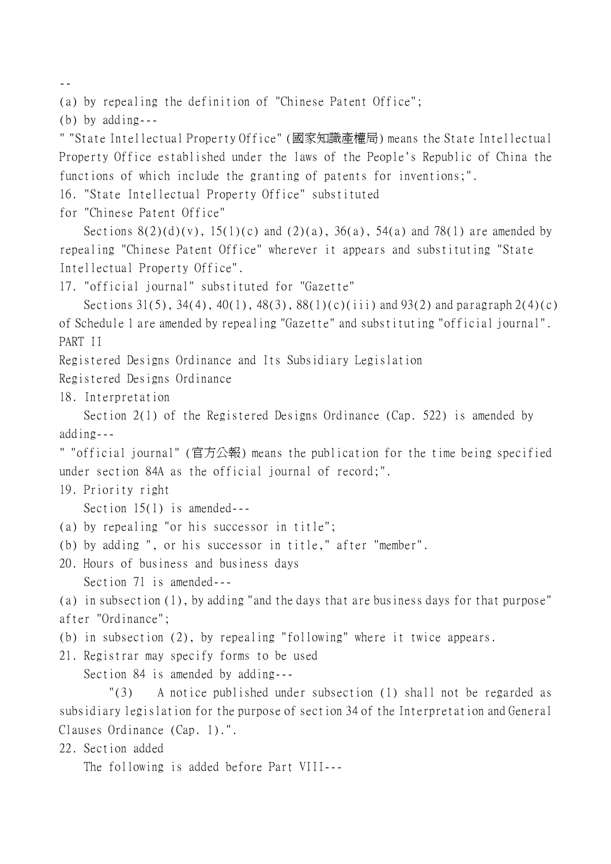--

(a) by repealing the definition of "Chinese Patent Office";

(b) by adding---

" "State Intellectual Property Office" (國家知識產權局) means the State Intellectual Property Office established under the laws of the People's Republic of China the functions of which include the granting of patents for inventions;".

16. "State Intellectual Property Office" substituted

for "Chinese Patent Office"

Sections  $8(2)(d)(v)$ ,  $15(1)(c)$  and  $(2)(a)$ ,  $36(a)$ ,  $54(a)$  and  $78(1)$  are amended by repealing "Chinese Patent Office" wherever it appears and substituting "State Intellectual Property Office".

17. "official journal" substituted for "Gazette"

Sections 31(5), 34(4), 40(1), 48(3), 88(1)(c)(iii) and 93(2) and paragraph 2(4)(c) of Schedule 1 are amended by repealing "Gazette" and substituting "official journal". PART II

Registered Designs Ordinance and Its Subsidiary Legislation

Registered Designs Ordinance

18. Interpretation

Section 2(1) of the Registered Designs Ordinance (Cap. 522) is amended by adding---

" "official journal" (官方公報) means the publication for the time being specified under section 84A as the official journal of record;".

19. Priority right

Section 15(1) is amended---

- (a) by repealing "or his successor in title";
- (b) by adding ", or his successor in title," after "member".
- 20. Hours of business and business days Section 71 is amended---

(a) in subsection (1), by adding "and the days that are business days for that purpose" after "Ordinance";

- (b) in subsection (2), by repealing "following" where it twice appears.
- 21. Registrar may specify forms to be used

Section 84 is amended by adding---

"(3) A notice published under subsection (1) shall not be regarded as subsidiary legislation for the purpose of section 34 of the Interpretation and General Clauses Ordinance (Cap. 1).".

22. Section added

The following is added before Part VIII---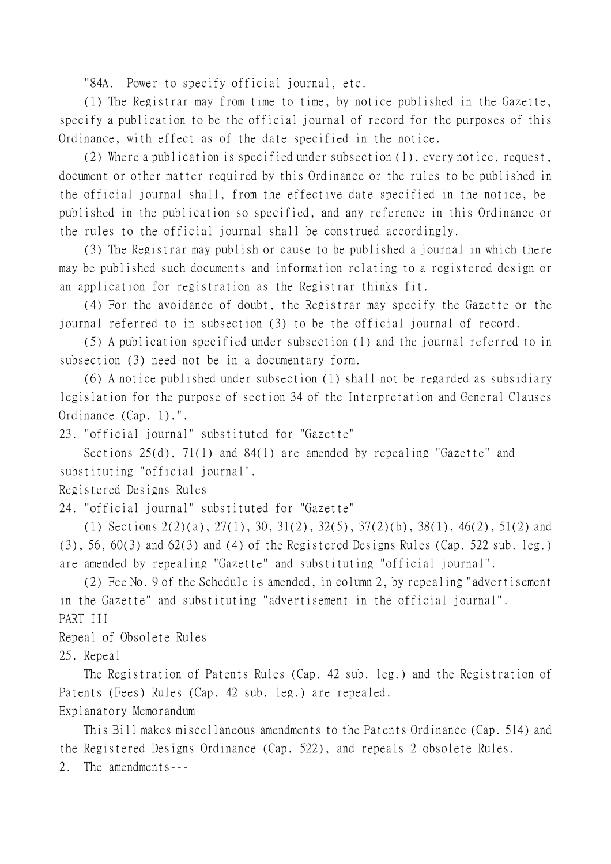"84A. Power to specify official journal, etc.

(1) The Registrar may from time to time, by notice published in the Gazette, specify a publication to be the official journal of record for the purposes of this Ordinance, with effect as of the date specified in the notice.

(2) Where a publication is specified under subsection (1), every notice, request, document or other matter required by this Ordinance or the rules to be published in the official journal shall, from the effective date specified in the notice, be published in the publication so specified, and any reference in this Ordinance or the rules to the official journal shall be construed accordingly.

(3) The Registrar may publish or cause to be published a journal in which there may be published such documents and information relating to a registered design or an application for registration as the Registrar thinks fit.

(4) For the avoidance of doubt, the Registrar may specify the Gazette or the journal referred to in subsection (3) to be the official journal of record.

(5) A publication specified under subsection (1) and the journal referred to in subsection (3) need not be in a documentary form.

(6) A notice published under subsection (1) shall not be regarded as subsidiary legislation for the purpose of section 34 of the Interpretation and General Clauses Ordinance (Cap. 1).".

23. "official journal" substituted for "Gazette"

Sections 25(d), 71(1) and 84(1) are amended by repealing "Gazette" and substituting "official journal".

Registered Designs Rules

24. "official journal" substituted for "Gazette"

(1) Sections 2(2)(a), 27(1), 30, 31(2), 32(5), 37(2)(b), 38(1), 46(2), 51(2) and (3), 56, 60(3) and 62(3) and (4) of the Registered Designs Rules (Cap. 522 sub. leg.) are amended by repealing "Gazette" and substituting "official journal".

(2) Fee No. 9 of the Schedule is amended, in column 2, by repealing "advertisement in the Gazette" and substituting "advertisement in the official journal". PART III

Repeal of Obsolete Rules

25. Repeal

The Registration of Patents Rules (Cap. 42 sub. leg.) and the Registration of Patents (Fees) Rules (Cap. 42 sub. leg.) are repealed.

Explanatory Memorandum

This Bill makes miscellaneous amendments to the Patents Ordinance (Cap. 514) and the Registered Designs Ordinance (Cap. 522), and repeals 2 obsolete Rules.

2. The amendments---